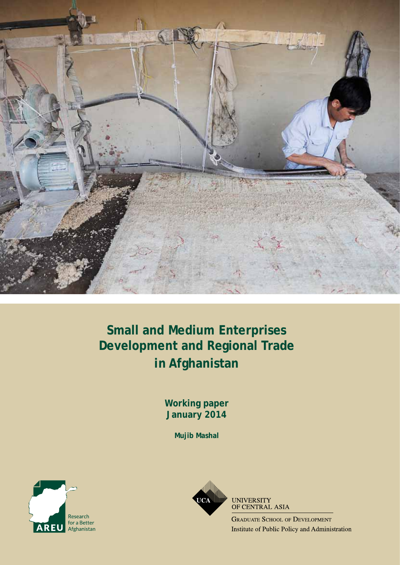

# **Small and Medium Enterprises Development and Regional Trade in Afghanistan**

**Working paper January 2014**

**Mujib Mashal**





**UNIVERSITY** OF CENTRAL ASIA

**GRADUATE SCHOOL OF DEVELOPMENT** Institute of Public Policy and Administration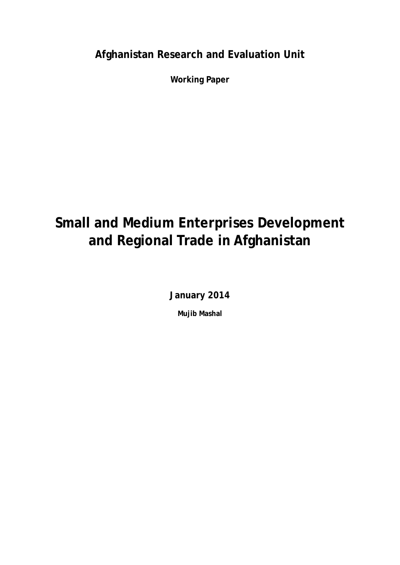**Afghanistan Research and Evaluation Unit**

**Working Paper**

# **Small and Medium Enterprises Development and Regional Trade in Afghanistan**

**January 2014**

**Mujib Mashal**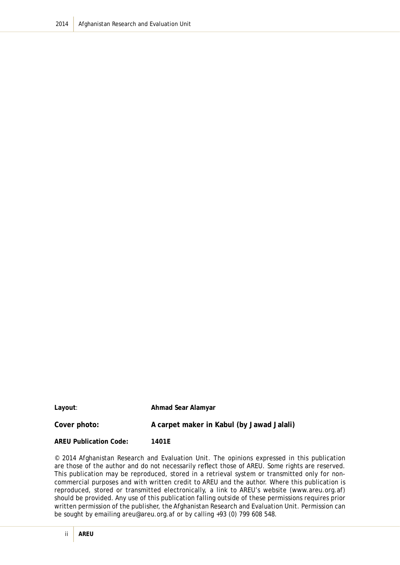**Layout**: **Ahmad Sear Alamyar**

Cover photo: **A carpet maker in Kabul (by Jawad Jalali)** 

**AREU Publication Code: 1401E**

© 2014 Afghanistan Research and Evaluation Unit. The opinions expressed in this publication are those of the author and do not necessarily reflect those of AREU. Some rights are reserved. This publication may be reproduced, stored in a retrieval system or transmitted only for noncommercial purposes and with written credit to AREU and the author. Where this publication is reproduced, stored or transmitted electronically, a link to AREU's website (www.areu.org.af) should be provided. Any use of this publication falling outside of these permissions requires prior written permission of the publisher, the Afghanistan Research and Evaluation Unit. Permission can be sought by emailing areu@areu.org.af or by calling +93 (0) 799 608 548.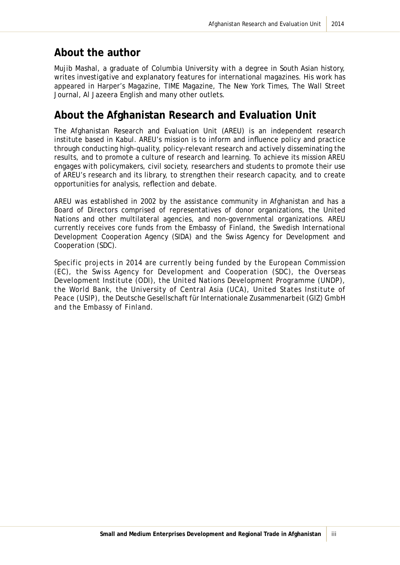### **About the author**

Mujib Mashal, a graduate of Columbia University with a degree in South Asian history, writes investigative and explanatory features for international magazines. His work has appeared in Harper's Magazine, TIME Magazine, The New York Times, The Wall Street Journal, Al Jazeera English and many other outlets.

### **About the Afghanistan Research and Evaluation Unit**

The Afghanistan Research and Evaluation Unit (AREU) is an independent research institute based in Kabul. AREU's mission is to inform and influence policy and practice through conducting high-quality, policy-relevant research and actively disseminating the results, and to promote a culture of research and learning. To achieve its mission AREU engages with policymakers, civil society, researchers and students to promote their use of AREU's research and its library, to strengthen their research capacity, and to create opportunities for analysis, reflection and debate.

AREU was established in 2002 by the assistance community in Afghanistan and has a Board of Directors comprised of representatives of donor organizations, the United Nations and other multilateral agencies, and non-governmental organizations. AREU currently receives core funds from the Embassy of Finland, the Swedish International Development Cooperation Agency (SIDA) and the Swiss Agency for Development and Cooperation (SDC).

Specific projects in 2014 are currently being funded by the European Commission (EC), the Swiss Agency for Development and Cooperation (SDC), the Overseas Development Institute (ODI), the United Nations Development Programme (UNDP), the World Bank, the University of Central Asia (UCA), United States Institute of Peace (USIP), the Deutsche Gesellschaft für Internationale Zusammenarbeit (GIZ) GmbH and the Embassy of Finland.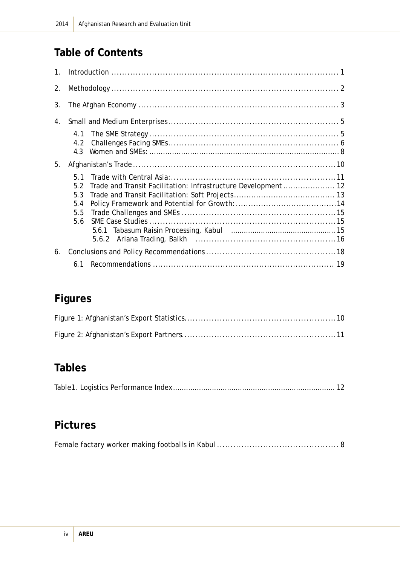# **Table of Contents**

| 1 <sub>1</sub> |                                                                                                        |  |  |
|----------------|--------------------------------------------------------------------------------------------------------|--|--|
| 2.             |                                                                                                        |  |  |
| 3.             |                                                                                                        |  |  |
| 4.             |                                                                                                        |  |  |
|                | 4.2<br>4.3                                                                                             |  |  |
| 5.             |                                                                                                        |  |  |
|                | 51<br>Trade and Transit Facilitation: Infrastructure Development 12<br>5.2<br>5.3<br>5.4<br>5.5<br>5.6 |  |  |
| 6.             |                                                                                                        |  |  |
|                |                                                                                                        |  |  |

# **Figures**

# **Tables**

|--|--|--|

# **Pictures**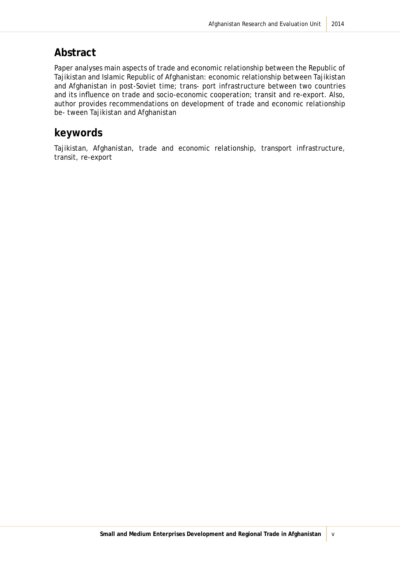### **Abstract**

Paper analyses main aspects of trade and economic relationship between the Republic of Tajikistan and Islamic Republic of Afghanistan: economic relationship between Tajikistan and Afghanistan in post-Soviet time; trans- port infrastructure between two countries and its influence on trade and socio-economic cooperation; transit and re-export. Also, author provides recommendations on development of trade and economic relationship be- tween Tajikistan and Afghanistan

### **keywords**

Tajikistan, Afghanistan, trade and economic relationship, transport infrastructure, transit, re-export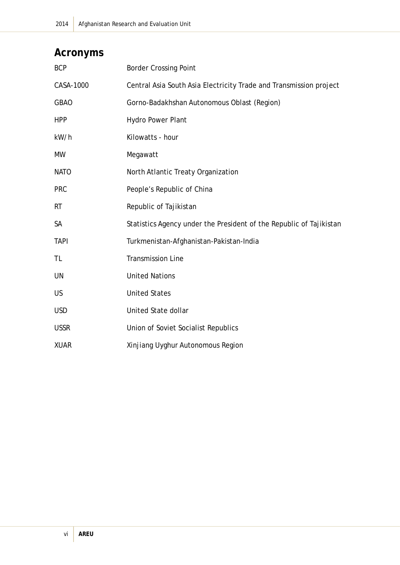# **Acronyms**

| <b>BCP</b>  | <b>Border Crossing Point</b>                                        |
|-------------|---------------------------------------------------------------------|
| CASA-1000   | Central Asia South Asia Electricity Trade and Transmission project  |
| <b>GBAO</b> | Gorno-Badakhshan Autonomous Oblast (Region)                         |
| <b>HPP</b>  | Hydro Power Plant                                                   |
| kW/h        | Kilowatts - hour                                                    |
| <b>MW</b>   | Megawatt                                                            |
| <b>NATO</b> | North Atlantic Treaty Organization                                  |
| <b>PRC</b>  | People's Republic of China                                          |
| <b>RT</b>   | Republic of Tajikistan                                              |
| <b>SA</b>   | Statistics Agency under the President of the Republic of Tajikistan |
| <b>TAPI</b> | Turkmenistan-Afghanistan-Pakistan-India                             |
| <b>TL</b>   | <b>Transmission Line</b>                                            |
| UN          | <b>United Nations</b>                                               |
| <b>US</b>   | <b>United States</b>                                                |
| <b>USD</b>  | United State dollar                                                 |
| <b>USSR</b> | Union of Soviet Socialist Republics                                 |
| <b>XUAR</b> | Xinjiang Uyghur Autonomous Region                                   |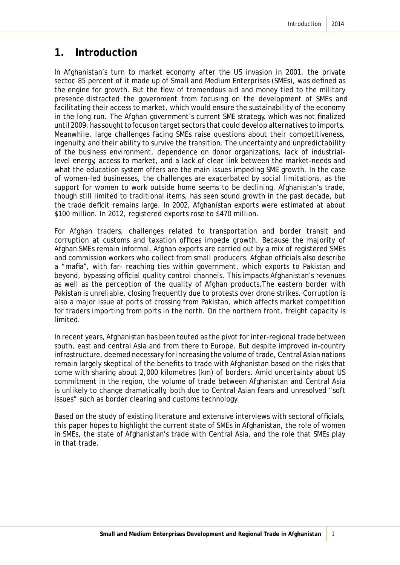### **1. Introduction**

In Afghanistan's turn to market economy after the US invasion in 2001, the private sector, 85 percent of it made up of Small and Medium Enterprises (SMEs), was defined as the engine for growth. But the flow of tremendous aid and money tied to the military presence distracted the government from focusing on the development of SMEs and facilitating their access to market, which would ensure the sustainability of the economy in the long run. The Afghan government's current SME strategy, which was not finalized until 2009, has sought to focus on target sectors that could develop alternatives to imports. Meanwhile, large challenges facing SMEs raise questions about their competitiveness, ingenuity, and their ability to survive the transition. The uncertainty and unpredictability of the business environment, dependence on donor organizations, lack of industriallevel energy, access to market, and a lack of clear link between the market-needs and what the education system offers are the main issues impeding SME growth. In the case of women-led businesses, the challenges are exacerbated by social limitations, as the support for women to work outside home seems to be declining. Afghanistan's trade, though still limited to traditional items, has seen sound growth in the past decade, but the trade deficit remains large. In 2002, Afghanistan exports were estimated at about \$100 million. In 2012, registered exports rose to \$470 million.

For Afghan traders, challenges related to transportation and border transit and corruption at customs and taxation offices impede growth. Because the majority of Afghan SMEs remain informal, Afghan exports are carried out by a mix of registered SMEs and commission workers who collect from small producers. Afghan officials also describe a "mafia", with far- reaching ties within government, which exports to Pakistan and beyond, bypassing official quality control channels. This impacts Afghanistan's revenues as well as the perception of the quality of Afghan products.The eastern border with Pakistan is unreliable, closing frequently due to protests over drone strikes. Corruption is also a major issue at ports of crossing from Pakistan, which affects market competition for traders importing from ports in the north. On the northern front, freight capacity is limited.

In recent years, Afghanistan has been touted as the pivot for inter-regional trade between south, east and central Asia and from there to Europe. But despite improved in-country infrastructure, deemed necessary for increasing the volume of trade, Central Asian nations remain largely skeptical of the benefits to trade with Afghanistan based on the risks that come with sharing about 2,000 kilometres (km) of borders. Amid uncertainty about US commitment in the region, the volume of trade between Afghanistan and Central Asia is unlikely to change dramatically, both due to Central Asian fears and unresolved "soft issues" such as border clearing and customs technology.

Based on the study of existing literature and extensive interviews with sectoral officials, this paper hopes to highlight the current state of SMEs in Afghanistan, the role of women in SMEs, the state of Afghanistan's trade with Central Asia, and the role that SMEs play in that trade.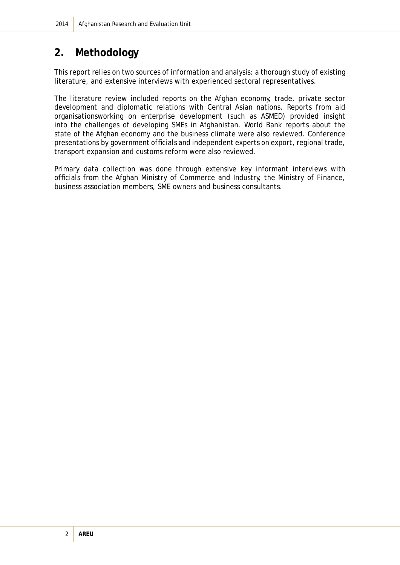# **2. Methodology**

This report relies on two sources of information and analysis: a thorough study of existing literature, and extensive interviews with experienced sectoral representatives.

The literature review included reports on the Afghan economy, trade, private sector development and diplomatic relations with Central Asian nations. Reports from aid organisationsworking on enterprise development (such as ASMED) provided insight into the challenges of developing SMEs in Afghanistan. World Bank reports about the state of the Afghan economy and the business climate were also reviewed. Conference presentations by government officials and independent experts on export, regional trade, transport expansion and customs reform were also reviewed.

Primary data collection was done through extensive key informant interviews with officials from the Afghan Ministry of Commerce and Industry, the Ministry of Finance, business association members, SME owners and business consultants.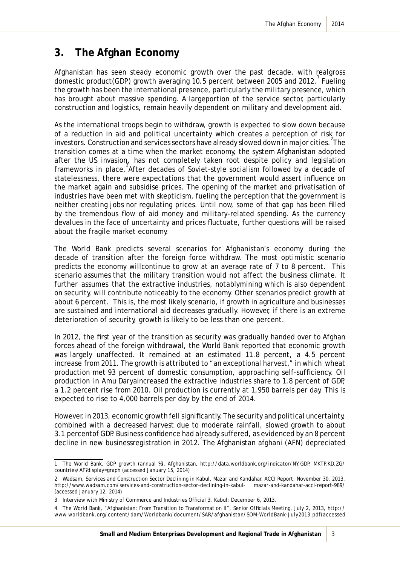# **3. The Afghan Economy**

Afghanistan has seen steady economic growth over the past decade, with realgross domestic product(GDP) growth averaging 10.5 percent between 2005 and 2012. Fueling the growth has been the international presence, particularly the military presence, which has brought about massive spending. A largeportion of the service sector, particularly construction and logistics, remain heavily dependent on military and development aid.

As the international troops begin to withdraw, growth is expected to slow down because of a reduction in aid and political uncertainty which creates a perception of risk for investors. Construction and services sectors have already slowed down in major cities. The transition comes at a time when the market economy, the system Afghanistan adopted after the US invasion, has not completely taken root despite policy and legislation frameworks in place.<sup>3</sup> After decades of Soviet-style socialism followed by a decade of statelessness, there were expectations that the government would assert influence on the market again and subsidise prices. The opening of the market and privatisation of industries have been met with skepticism, fueling the perception that the government is neither creating jobs nor regulating prices. Until now, some of that gap has been filled by the tremendous flow of aid money and military-related spending. As the currency devalues in the face of uncertainty and prices fluctuate, further questions will be raised about the fragile market economy.

The World Bank predicts several scenarios for Afghanistan's economy during the decade of transition after the foreign force withdraw. The most optimistic scenario predicts the economy willcontinue to grow at an average rate of 7 to 8 percent. This scenario assumes that the military transition would not affect the business climate. It further assumes that the extractive industries, notablymining which is also dependent on security, will contribute noticeably to the economy. Other scenarios predict growth at about 6 percent. This is, the most likely scenario, if growth in agriculture and businesses are sustained and international aid decreases gradually. However, if there is an extreme deterioration of security, growth is likely to be less than one percent.

In 2012, the first year of the transition as security was gradually handed over to Afghan forces ahead of the foreign withdrawal, the World Bank reported that economic growth was largely unaffected. It remained at an estimated 11.8 percent, a 4.5 percent increase from 2011. The growth is attributed to "an exceptional harvest," in which wheat production met 93 percent of domestic consumption, approaching self-sufficiency. Oil production in Amu Daryaincreased the extractive industries share to 1.8 percent of GDP, a 1.2 percent rise from 2010. Oil production is currently at 1,950 barrels per day. This is expected to rise to 4,000 barrels per day by the end of 2014.

However, in 2013, economic growth fell significantly. The security and political uncertainty, combined with a decreased harvest due to moderate rainfall, slowed growth to about 3.1 percentof GDP. Business confidence had already suffered, as evidenced by an 8 percent decline in new businessregistration in 2012. The Afghanistan afghani (AFN) depreciated

<sup>1</sup> The World Bank, GDP growth (annual %), Afghanistan, http://data.worldbank.org/indicator/NY.GDP. MKTP.KD.ZG/ countries/AF?display=graph (accessed January 15, 2014)

<sup>2</sup> Wadsam, Services and Construction Sector Declining in Kabul, Mazar and Kandahar, ACCI Report, November 30, 2013, http://www.wadsam.com/services-and-construction-sector-declining-in-kabul- mazar-and-kandahar-acci-report-989/ (accessed January 12, 2014)

<sup>3</sup> Interview with Ministry of Commerce and Industries Official 3. Kabul; December 6, 2013.

<sup>4</sup> The World Bank, "Afghanistan: From Transition to Transformation II", Senior Officials Meeting, July 2, 2013, http:// www.worldbank.org/content/dam/Worldbank/document/SAR/afghanistan/SOM-WorldBank-July2013.pdf(accessed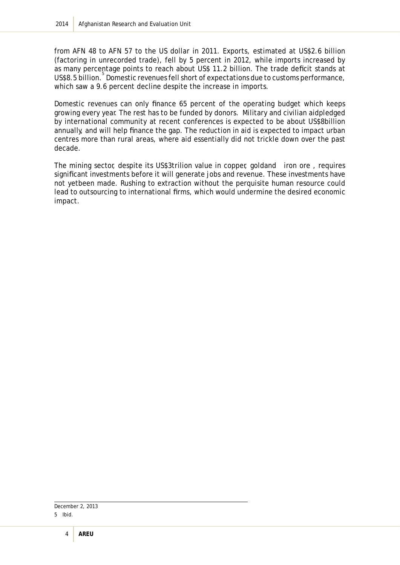from AFN 48 to AFN 57 to the US dollar in 2011. Exports, estimated at US\$2.6 billion (factoring in unrecorded trade), fell by 5 percent in 2012, while imports increased by as many percentage points to reach about US\$ 11.2 billion. The trade deficit stands at US\$8.5 billion.<sup>5</sup> Domestic revenues fell short of expectations due to customs performance, which saw a 9.6 percent decline despite the increase in imports.

Domestic revenues can only finance 65 percent of the operating budget which keeps growing every year. The rest has to be funded by donors. Military and civilian aidpledged by international community at recent conferences is expected to be about US\$8billion annually, and will help finance the gap. The reduction in aid is expected to impact urban centres more than rural areas, where aid essentially did not trickle down over the past decade.

The mining sector, despite its US\$3trilion value in copper, goldand iron ore , requires significant investments before it will generate jobs and revenue. These investments have not yetbeen made. Rushing to extraction without the perquisite human resource could lead to outsourcing to international firms, which would undermine the desired economic impact.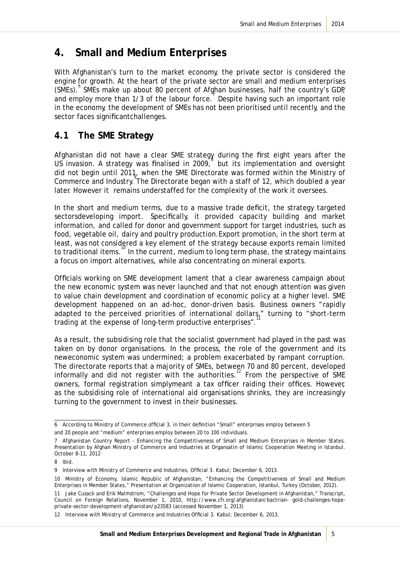## **4. Small and Medium Enterprises**

With Afghanistan's turn to the market economy, the private sector is considered the engine for growth. At the heart of the private sector are small and medium enterprises (SMEs).<sup>6</sup> SMEs make up about 80 percent of Afghan businesses, half the country's GDP, and employ more than 1/3 of the labour force. Despite having such an important role in the economy, the development of SMEs has not been prioritised until recently, and the sector faces significantchallenges.

#### **4.1 The SME Strategy**

Afghanistan did not have a clear SME strategy during the first eight years after the US invasion. A strategy was finalised in 2009, but its implementation and oversight did not begin until 2011, when the SME Directorate was formed within the Ministry of Commerce and Industry. The Directorate began with a staff of 12, which doubled a year later. However it remains understaffed for the complexity of the work it oversees.

In the short and medium terms, due to a massive trade deficit, the strategy targeted sectorsdeveloping import. Specifically, it provided capacity building and market information, and called for donor and government support for target industries, such as food, vegetable oil, dairy and poultry production.Export promotion, in the short term at least, was not considered a key element of the strategy because exports remain limited to traditional items.<sup>10</sup> In the current, medium to long term phase, the strategy maintains a focus on import alternatives, while also concentrating on mineral exports.

Officials working on SME development lament that a clear awareness campaign about the new economic system was never launched and that not enough attention was given to value chain development and coordination of economic policy at a higher level. SME development happened on an ad-hoc, donor-driven basis. Business owners "rapidly adapted to the perceived priorities of international dollars," turning to "short-term trading at the expense of long-term productive enterprises".

As a result, the subsidising role that the socialist government had played in the past was taken on by donor organisations. In the process, the role of the government and its neweconomic system was undermined; a problem exacerbated by rampant corruption. The directorate reports that a majority of SMEs, between 70 and 80 percent, developed informally and did not register with the authorities.<sup>12</sup> From the perspective of SME owners, formal registration simplymeant a tax officer raiding their offices. However, as the subsidising role of international aid organisations shrinks, they are increasingly turning to the government to invest in their businesses.

<sup>6</sup> According to Ministry of Commerce official 3, in their definition "Small" enterprises employ between 5

and 20 people and "medium" enterprises employ between 20 to 100 individuals.

<sup>7</sup> Afghanistan Country Report - Enhancing the Competitiveness of Small and Medium Enterprises in Member States. Presentation by Afghan Ministry of Commerce and Industries at Organsatin of Islamic Cooperation Meeting in Istanbul. October 8-11, 2012

<sup>8</sup> Ibid.

<sup>9</sup> Interview with Ministry of Commerce and Industries, Official 3. Kabul; December 6, 2013.

<sup>10</sup> Ministry of Economy, Islamic Republic of Afghanistan, "Enhancing the Competitiveness of Small and Medium Enterprises in Member States," Presentation at Organization of Islamic Cooperation, Istanbul, Turkey (October, 2012).

<sup>11</sup> Jake Cusack and Erik Malmstrom, "Challenges and Hope for Private Sector Development in Afghanistan," Transcript, Council on Foreign Relations, November 1, 2010, http://www.cfr.org/afghanistan/bactrian- gold-challenges-hopeprivate-sector-development-afghanistan/p23583 (accessed November 1, 2013)

<sup>12</sup> Interview with Ministry of Commerce and Industries Official 3. Kabul; December 6, 2013.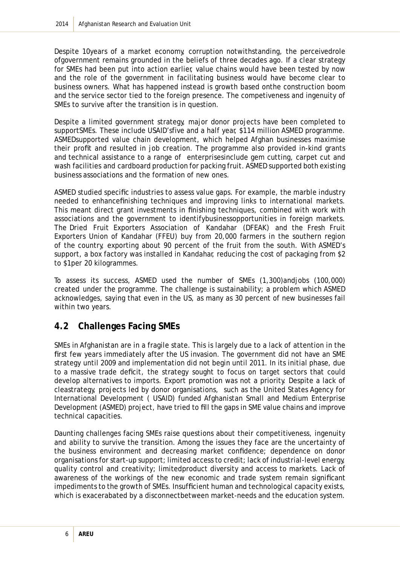Despite 10years of a market economy, corruption notwithstanding, the perceivedrole ofgovernment remains grounded in the beliefs of three decades ago. If a clear strategy for SMEs had been put into action earlier, value chains would have been tested by now and the role of the government in facilitating business would have become clear to business owners. What has happened instead is growth based onthe construction boom and the service sector tied to the foreign presence. The competiveness and ingenuity of SMEs to survive after the transition is in question.

Despite a limited government strategy, major donor projects have been completed to supportSMEs. These include USAID'sfive and a half year, \$114 million ASMED programme. ASMEDsupported value chain development, which helped Afghan businesses maximise their profit and resulted in job creation. The programme also provided in-kind grants and technical assistance to a range of enterprisesinclude gem cutting, carpet cut and wash facilities and cardboard production for packing fruit. ASMED supported both existing business associations and the formation of new ones.

ASMED studied specific industries to assess value gaps. For example, the marble industry needed to enhancefinishing techniques and improving links to international markets. This meant direct grant investments in finishing techniques, combined with work with associations and the government to identifybusinessopportunities in foreign markets. The Dried Fruit Exporters Association of Kandahar (DFEAK) and the Fresh Fruit Exporters Union of Kandahar (FFEU) buy from 20,000 farmers in the southern region of the country, exporting about 90 percent of the fruit from the south. With ASMED's support, a box factory was installed in Kandahar, reducing the cost of packaging from \$2 to \$1per 20 kilogrammes.

To assess its success, ASMED used the number of SMEs (1,300)andjobs (100,000) created under the programme. The challenge is sustainability; a problem which ASMED acknowledges, saying that even in the US, as many as 30 percent of new businesses fail within two years.

#### **4.2 Challenges Facing SMEs**

SMEs in Afghanistan are in a fragile state. This is largely due to a lack of attention in the first few years immediately after the US invasion. The government did not have an SME strategy until 2009 and implementation did not begin until 2011. In its initial phase, due to a massive trade deficit, the strategy sought to focus on target sectors that could develop alternatives to imports. Export promotion was not a priority. Despite a lack of cleastrategy, projects led by donor organisations, such as the United States Agency for International Development ( USAID) funded Afghanistan Small and Medium Enterprise Development (ASMED) project, have tried to fill the gaps in SME value chains and improve technical capacities.

Daunting challenges facing SMEs raise questions about their competitiveness, ingenuity and ability to survive the transition. Among the issues they face are the uncertainty of the business environment and decreasing market confidence; dependence on donor organisations for start-up support; limited access to credit; lack of industrial-level energy, quality control and creativity; limitedproduct diversity and access to markets. Lack of awareness of the workings of the new economic and trade system remain significant impediments to the growth of SMEs. Insufficient human and technological capacity exists, which is exacerabated by a disconnectbetween market-needs and the education system.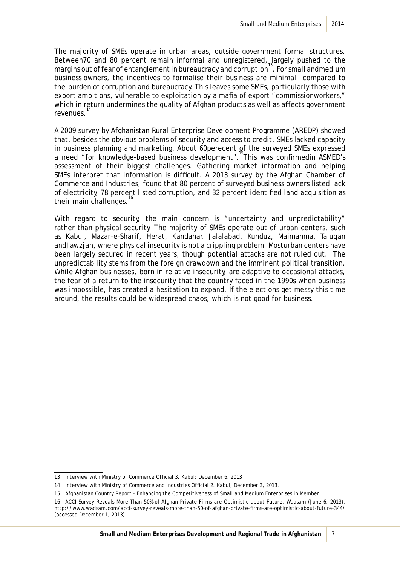The majority of SMEs operate in urban areas, outside government formal structures. Between70 and 80 percent remain informal and unregistered, largely pushed to the margins out of fear of entanglement in bureaucracy and corruption<sup>13</sup>. For small andmedium business owners, the incentives to formalise their business are minimal compared to the burden of corruption and bureaucracy. This leaves some SMEs, particularly those with export ambitions, vulnerable to exploitation by a mafia of export "commissionworkers," which in return undermines the quality of Afghan products as well as affects government revenues.

A 2009 survey by Afghanistan Rural Enterprise Development Programme (AREDP) showed that, besides the obvious problems of security and access to credit, SMEs lacked capacity in business planning and marketing. About 60perecent of the surveyed SMEs expressed a need "for knowledge-based business development". This was confirmedin ASMED's assessment of their biggest challenges. Gathering market information and helping SMEs interpret that information is difficult. A 2013 survey by the Afghan Chamber of Commerce and Industries, found that 80 percent of surveyed business owners listed lack of electricity, 78 percent listed corruption, and 32 percent identified land acquisition as their main challenges.

With regard to security, the main concern is "uncertainty and unpredictability" rather than physical security. The majority of SMEs operate out of urban centers, such as Kabul, Mazar-e-Sharif, Herat, Kandahar, Jalalabad, Kunduz, Maimamna, Taluqan andJawzjan, where physical insecurity is not a crippling problem. Mosturban centers have been largely secured in recent years, though potential attacks are not ruled out. The unpredictability stems from the foreign drawdown and the imminent political transition. While Afghan businesses, born in relative insecurity, are adaptive to occasional attacks, the fear of a return to the insecurity that the country faced in the 1990s when business was impossible, has created a hesitation to expand. If the elections get messy this time around, the results could be widespread chaos, which is not good for business.

<sup>13</sup> Interview with Ministry of Commerce Official 3. Kabul; December 6, 2013

<sup>14</sup> Interview with Ministry of Commerce and Industries Official 2. Kabul; December 3, 2013.

<sup>15</sup> Afghanistan Country Report - Enhancing the Competitiveness of Small and Medium Enterprises in Member

<sup>16</sup> ACCI Survey Reveals More Than 50% of Afghan Private Firms are Optimistic about Future. Wadsam (June 6, 2013), http://www.wadsam.com/acci-survey-reveals-more-than-50-of-afghan-private-firms-are-optimistic-about-future-344/ (accessed December 1, 2013)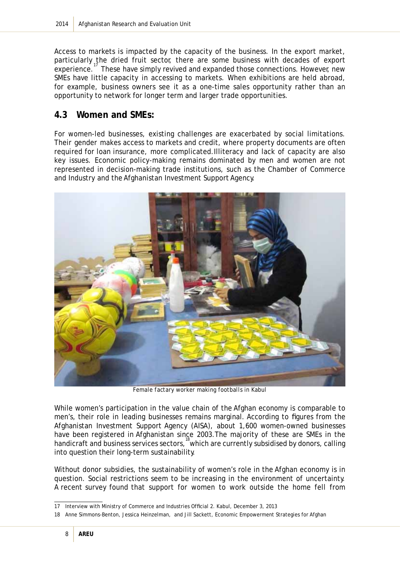Access to markets is impacted by the capacity of the business. In the export market, particularly the dried fruit sector, there are some business with decades of export experience.<sup>17</sup> These have simply revived and expanded those connections. However, new SMEs have little capacity in accessing to markets. When exhibitions are held abroad, for example, business owners see it as a one-time sales opportunity rather than an opportunity to network for longer term and larger trade opportunities.

#### **4.3 Women and SMEs:**

For women-led businesses, existing challenges are exacerbated by social limitations. Their gender makes access to markets and credit, where property documents are often required for loan insurance, more complicated.Illiteracy and lack of capacity are also key issues. Economic policy-making remains dominated by men and women are not represented in decision-making trade institutions, such as the Chamber of Commerce and Industry and the Afghanistan Investment Support Agency.



*Female factary worker making footballs in Kabul*

While women's participation in the value chain of the Afghan economy is comparable to men's, their role in leading businesses remains marginal. According to figures from the Afghanistan Investment Support Agency (AISA), about 1,600 women-owned businesses have been registered in Afghanistan since 2003.The majority of these are SMEs in the handicraft and business services sectors, which are currently subsidised by donors, calling into question their long-term sustainability.

Without donor subsidies, the sustainability of women's role in the Afghan economy is in question. Social restrictions seem to be increasing in the environment of uncertainty. A recent survey found that support for women to work outside the home fell from

<sup>17</sup> Interview with Ministry of Commerce and Industries Official 2. Kabul, December 3, 2013

<sup>18</sup> Anne Simmons-Benton, Jessica Heinzelman, and Jill Sackett, Economic Empowerment Strategies for Afghan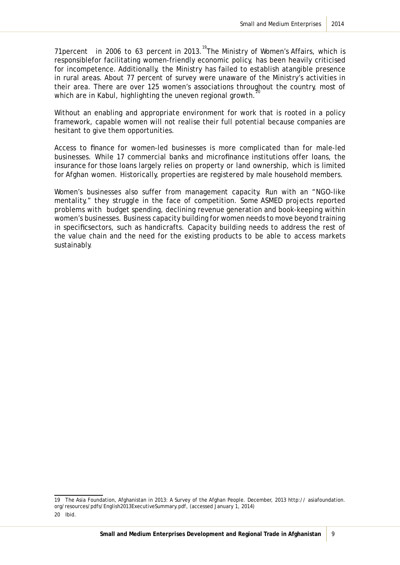71 percent in 2006 to 63 percent in 2013.<sup>19</sup>The Ministry of Women's Affairs, which is responsiblefor facilitating women-friendly economic policy, has been heavily criticised for incompetence. Additionally, the Ministry has failed to establish atangible presence in rural areas. About 77 percent of survey were unaware of the Ministry's activities in their area. There are over 125 women's associations throughout the country, most of which are in Kabul, highlighting the uneven regional growth.<sup>2</sup>

Without an enabling and appropriate environment for work that is rooted in a policy framework, capable women will not realise their full potential because companies are hesitant to give them opportunities.

Access to finance for women-led businesses is more complicated than for male-led businesses. While 17 commercial banks and microfinance institutions offer loans, the insurance for those loans largely relies on property or land ownership, which is limited for Afghan women. Historically, properties are registered by male household members.

Women's businesses also suffer from management capacity. Run with an "NGO-like mentality," they struggle in the face of competition. Some ASMED projects reported problems with budget spending, declining revenue generation and book-keeping within women's businesses. Business capacity building for women needs to move beyond training in specificsectors, such as handicrafts. Capacity building needs to address the rest of the value chain and the need for the existing products to be able to access markets sustainably.

<sup>19</sup> The Asia Foundation, Afghanistan in 2013: A Survey of the Afghan People. December, 2013 http:// asiafoundation. org/resources/pdfs/English2013ExecutiveSummary.pdf, (accessed January 1, 2014) 20 Ibid.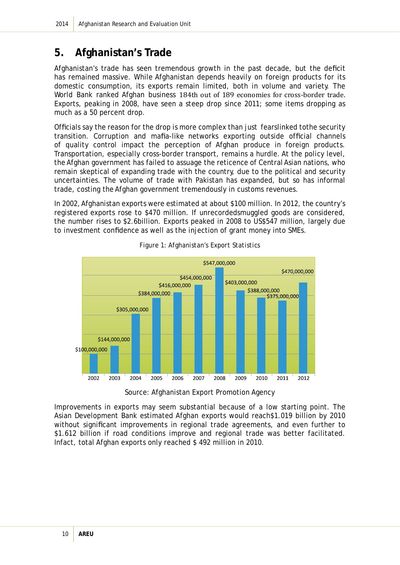## **5. Afghanistan's Trade**

Afghanistan's trade has seen tremendous growth in the past decade, but the deficit has remained massive. While Afghanistan depends heavily on foreign products for its domestic consumption, its exports remain limited, both in volume and variety. The World Bank ranked Afghan business 184th out of 189 economies for cross-border trade. Exports, peaking in 2008, have seen a steep drop since 2011; some items dropping as much as a 50 percent drop.

Officials say the reason for the drop is more complex than just fearslinked tothe security transition. Corruption and mafia-like networks exporting outside official channels of quality control impact the perception of Afghan produce in foreign products. Transportation, especially cross-border transport, remains a hurdle. At the policy level, the Afghan government has failed to assuage the reticence of Central Asian nations, who remain skeptical of expanding trade with the country, due to the political and security uncertainties. The volume of trade with Pakistan has expanded, but so has informal trade, costing the Afghan government tremendously in customs revenues.

In 2002, Afghanistan exports were estimated at about \$100 million. In 2012, the country's registered exports rose to \$470 million. If unrecordedsmuggled goods are considered, the number rises to \$2.6billion. Exports peaked in 2008 to US\$547 million, largely due to investment confidence as well as the injection of grant money into SMEs.



*Figure 1: Afghanistan's Export Statistics*

Improvements in exports may seem substantial because of a low starting point. The Asian Development Bank estimated Afghan exports would reach\$1.019 billion by 2010 without significant improvements in regional trade agreements, and even further to \$1.612 billion if road conditions improve and regional trade was better facilitated. Infact, total Afghan exports only reached \$ 492 million in 2010.

Source: Afghanistan Export Promotion Agency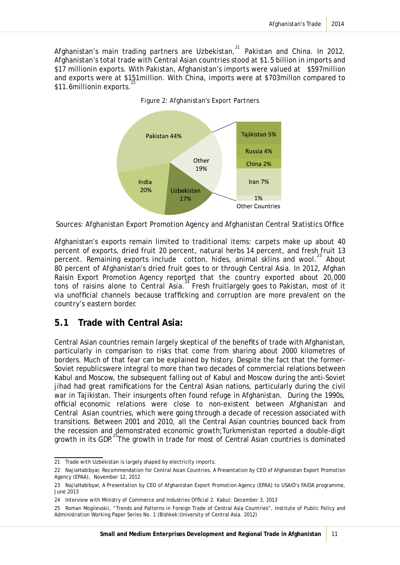Afghanistan's main trading partners are Uzbekistan, $^{21}$  Pakistan and China. In 2012, Afghanistan's total trade with Central Asian countries stood at \$1.5 billion in imports and \$17 millionin exports. With Pakistan, Afghanistan's imports were valued at \$597 million and exports were at \$151million. With China, imports were at \$703millon compared to \$11.6millionin exports.



*Figure 2: Afghanistan's Export Partners*

Sources: Afghanistan Export Promotion Agency and Afghanistan Central Statistics Office

Afghanistan's exports remain limited to traditional items: carpets make up about 40 percent of exports, dried fruit 20 percent, natural herbs 14 percent, and fresh fruit 13 percent. Remaining exports include cotton, hides, animal sklins and wool.<sup>23</sup> About 80 percent of Afghanistan's dried fruit goes to or through Central Asia. In 2012, Afghan Raisin Export Promotion Agency reported that the country exported about 20,000 tons of raisins alone to Central Asia.<sup>24</sup> Fresh fruitlargely goes to Pakistan, most of it via unofficial channels because trafficking and corruption are more prevalent on the country's eastern border.

#### **5.1 Trade with Central Asia:**

Central Asian countries remain largely skeptical of the benefits of trade with Afghanistan, particularly in comparison to risks that come from sharing about 2000 kilometres of borders. Much of that fear can be explained by history. Despite the fact that the former-Soviet republicswere integral to more than two decades of commercial relations between Kabul and Moscow, the subsequent falling out of Kabul and Moscow during the anti-Soviet *jihad* had great ramifications for the Central Asian nations, particularly during the civil war in Tajikistan. Their insurgents often found refuge in Afghanistan. During the 1990s, official economic relations were close to non-existent between Afghanistan and Central Asian countries, which were going through a decade of recession associated with transitions. Between 2001 and 2010, all the Central Asian countries bounced back from the recession and demonstrated economic growth;Turkmenistan reported a double-digit growth in its GDP.<sup>25</sup>The growth in trade for most of Central Asian countries is dominated

<sup>21</sup> Trade with Uzbekistan is largely shaped by electricity imports.

<sup>22</sup> NajlaHabibyar, Recommendation for Central Asian Countries. A Presentation by CEO of Afghanistan Export Promotion Agency (EPAA), November 12, 2012

<sup>23</sup> NajlaHabibyar, A Presentation by CEO of Afghanistan Export Promotion Agency (EPAA) to USAID's FAIDA programme, June 2013

<sup>24</sup> Interview with Ministry of Commerce and Industries Official 2. Kabul; December 3, 2013

<sup>25</sup> Roman Mogilevskii, "Trends and Patterns in Foreign Trade of Central Asia Countries", Institute of Public Policy and Administration Working Paper Series No. 1 (Bishkek:University of Central Asia. 2012)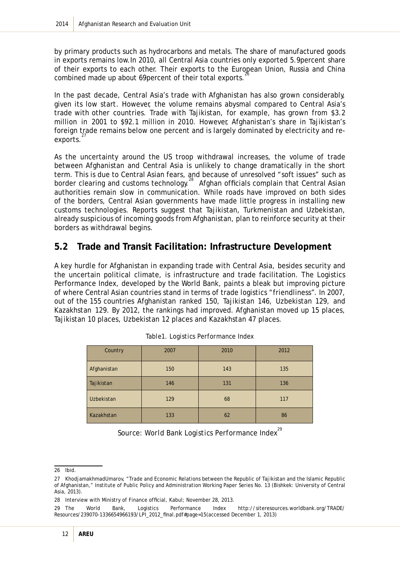by primary products such as hydrocarbons and metals. The share of manufactured goods in exports remains low.In 2010, all Central Asia countries only exported 5.9percent share of their exports to each other. Their exports to the European Union, Russia and China combined made up about 69 percent of their total exports.

In the past decade, Central Asia's trade with Afghanistan has also grown considerably, given its low start. However, the volume remains abysmal compared to Central Asia's trade with other countries. Trade with Tajikistan, for example, has grown from \$3.2 million in 2001 to \$92.1 million in 2010. However, Afghanistan's share in Tajikistan's foreign trade remains below one percent and is largely dominated by electricity and reexports.

As the uncertainty around the US troop withdrawal increases, the volume of trade between Afghanistan and Central Asia is unlikely to change dramatically in the short term. This is due to Central Asian fears, and because of unresolved "soft issues" such as border clearing and customs technology.<sup>28</sup> Afghan officials complain that Central Asian authorities remain slow in communication. While roads have improved on both sides of the borders, Central Asian governments have made little progress in installing new customs technologies. Reports suggest that Tajikistan, Turkmenistan and Uzbekistan, already suspicious of incoming goods from Afghanistan, plan to reinforce security at their borders as withdrawal begins.

#### **5.2 Trade and Transit Facilitation: Infrastructure Development**

A key hurdle for Afghanistan in expanding trade with Central Asia, besides security and the uncertain political climate, is infrastructure and trade facilitation. The Logistics Performance Index, developed by the World Bank, paints a bleak but improving picture of where Central Asian countries stand in terms of trade logistics "friendliness". In 2007, out of the 155 countries Afghanistan ranked 150, Tajikistan 146, Uzbekistan 129, and Kazakhstan 129. By 2012, the rankings had improved. Afghanistan moved up 15 places, Tajikistan 10 places, Uzbekistan 12 places and Kazakhstan 47 places.

| Country           | 2007 | 2010 | 2012 |
|-------------------|------|------|------|
| Afghanistan       | 150  | 143  | 135  |
| Tajikistan        | 146  | 131  | 136  |
| <b>Uzbekistan</b> | 129  | 68   | 117  |
| Kazakhstan        | 133  | 62   | 86   |

Source: World Bank Logistics Performance Index<sup>29</sup>

<sup>26</sup> Ibid.

<sup>27</sup> KhodiamakhmadUmarov, "Trade and Economic Relations between the Republic of Tajikistan and the Islamic Republic of Afghanistan," Institute of Public Policy and Administration Working Paper Series No. 13 (Bishkek: University of Central Asia, 2013).

<sup>28</sup> Interview with Ministry of Finance official, Kabul; November 28, 2013.

<sup>29</sup> The World Bank, Logistics Performance Index http://siteresources.worldbank.org/TRADE/ Resources/239070-1336654966193/LPI\_2012\_final.pdf#page=15(accessed December 1, 2013)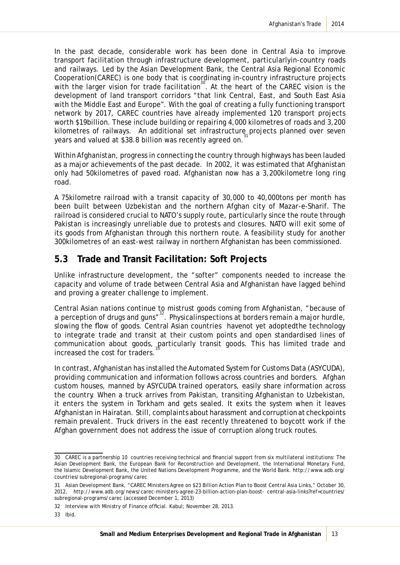In the past decade, considerable work has been done in Central Asia to improve transport facilitation through infrastructure development, particularlyin-country roads and railways. Led by the Asian Development Bank, the Central Asia Regional Economic Cooperation(CAREC) is one body that is coordinating in-country infrastructure projects with the larger vision for trade facilitation<sup>30</sup>. At the heart of the CAREC vision is the development of land transport corridors "that link Central, East, and South East Asia with the Middle East and Europe". With the goal of creating a fully functioning transport network by 2017, CAREC countries have already implemented 120 transport projects worth \$19billion. These include building or repairing 4,000 kilometres of roads and 3,200 kilometres of railways. An additional set infrastructure projects planned over seven years and valued at \$38.8 billion was recently agreed on.

Within Afghanistan, progress in connecting the country through highways has been lauded as a major achievements of the past decade. In 2002, it was estimated that Afghanistan only had 50kilometres of paved road. Afghanistan now has a 3,200kilometre long ring road.

A 75kilometre railroad with a transit capacity of 30,000 to 40,000tons per month has been built between Uzbekistan and the northern Afghan city of Mazar-e-Sharif. The railroad is considered crucial to NATO's supply route, particularly since the route through Pakistan is increasingly unreliable due to protests and closures. NATO will exit some of its goods from Afghanistan through this northern route. A feasibility study for another 300kilometres of an east-west railway in northern Afghanistan has been commissioned.

#### **5.3 Trade and Transit Facilitation: Soft Projects**

Unlike infrastructure development, the "softer" components needed to increase the capacity and volume of trade between Central Asia and Afghanistan have lagged behind and proving a greater challenge to implement.

Central Asian nations continue to mistrust goods coming from Afghanistan, "because of a perception of drugs and guns"32. Physicalinspections at borders remain a major hurdle, slowing the flow of goods. Central Asian countries havenot yet adoptedthe technology to integrate trade and transit at their custom points and open standardised lines of communication about goods, particularly transit goods. This has limited trade and increased the cost for traders.

In contrast, Afghanistan has installed the Automated System for Customs Data (ASYCUDA), providing communication and information follows across countries and borders. Afghan custom houses, manned by ASYCUDA trained operators, easily share information across the country. When a truck arrives from Pakistan, transiting Afghanistan to Uzbekistan, it enters the system in Torkham and gets sealed. It exits the system when it leaves Afghanistan in Hairatan. Still, complaints about harassment and corruption at checkpoints remain prevalent. Truck drivers in the east recently threatened to boycott work if the Afghan government does not address the issue of corruption along truck routes.

<sup>30</sup> CAREC is a partnership 10 countries receiving technical and financial support from six multilateral institutions: The Asian Development Bank, the European Bank for Reconstruction and Development, the International Monetary Fund, the Islamic Development Bank, the United Nations Development Programme, and the World Bank. http://www.adb.org/ countries/subregional-programs/carec

<sup>31</sup> Asian Development Bank, "CAREC Ministers Agree on \$23 Billion Action Plan to Boost Central Asia Links," October 30, 2012, http://www.adb.org/news/carec-ministers-agree-23-billion-action-plan-boost- central-asia-links?ref=countries/ subregional-programs/carec (accessed December 1, 2013)

<sup>32</sup> Interview with Ministry of Finance official. Kabul; November 28, 2013.

<sup>33</sup> Ibid.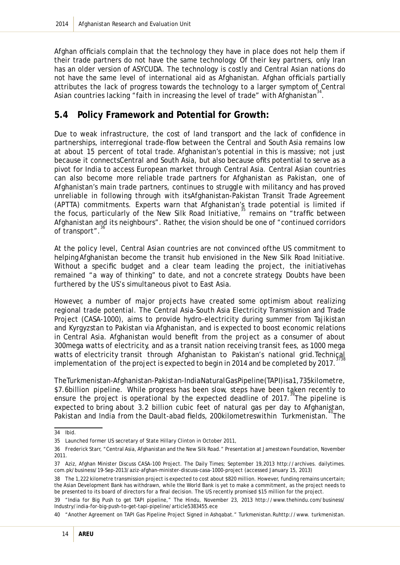Afghan officials complain that the technology they have in place does not help them if their trade partners do not have the same technology. Of their key partners, only Iran has an older version of ASYCUDA. The technology is costly and Central Asian nations do not have the same level of international aid as Afghanistan. Afghan officials partially attributes the lack of progress towards the technology to a larger symptom of Central Asian countries lacking "faith in increasing the level of trade" with Afghanistan $34$ .

#### **5.4 Policy Framework and Potential for Growth:**

Due to weak infrastructure, the cost of land transport and the lack of confidence in partnerships, interregional trade-flow between the Central and South Asia remains low at about 15 percent of total trade. Afghanistan's potential in this is massive; not just because it connectsCentral and South Asia, but also because ofits potential to serve as a pivot for India to access European market through Central Asia. Central Asian countries can also become more reliable trade partners for Afghanistan as Pakistan, one of Afghanistan's main trade partners, continues to struggle with militancy and has proved unreliable in following through with itsAfghanistan-Pakistan Transit Trade Agreement (APTTA) commitments. Experts warn that Afghanistan's trade potential is limited if the focus, particularly of the New Silk Road Initiative," remains on "traffic between Afghanistan and its neighbours". Rather, the vision should be one of "continued corridors of transport".

At the policy level, Central Asian countries are not convinced ofthe US commitment to helping Afghanistan become the transit hub envisioned in the New Silk Road Initiative. Without a specific budget and a clear team leading the project, the initiativehas remained "a way of thinking" to date, and not a concrete strategy. Doubts have been furthered by the US's simultaneous pivot to East Asia.

However, a number of major projects have created some optimism about realizing regional trade potential. The Central Asia-South Asia Electricity Transmission and Trade Project (CASA-1000), aims to provide hydro-electricity during summer from Tajikistan and Kyrgyzstan to Pakistan via Afghanistan, and is expected to boost economic relations in Central Asia. Afghanistan would benefit from the project as a consumer of about 300mega watts of electricity, and as a transit nation receiving transit fees, as 1000 mega watts of electricity transit through Afghanistan to Pakistan's national grid. Technical implementation of the project is expected to begin in 2014 and be completed by 2017.

The Turkmenistan-Afghanistan-Pakistan-India Natural Gas Pipeline (TAPI) is a1,735kilometre, \$7.6billion pipeline. While progress has been slow, steps have been taken recently to ensure the project is operational by the expected deadline of 2017.<sup>39</sup>The pipeline is expected to bring about 3.2 billion cubic feet of natural gas per day to Afghanistan, Pakistan and India from the Dault-abad fields, 200kilometreswithin Turkmenistan.<sup>40</sup>The

<sup>34</sup> Ibid.

<sup>35</sup> Launched former US secretary of State Hillary Clinton in October 2011,

<sup>36</sup> Frederick Starr, "Central Asia, Afghanistan and the New Silk Road." Presentation at Jamestown Foundation, November 2011.

<sup>37</sup> Aziz, Afghan Minister Discuss CASA-100 Project. The Daily Times; September 19,2013 http://archives. dailytimes. com.pk/business/19-Sep-2013/aziz-afghan-minister-discuss-casa-1000-project (accessed January 15, 2013)

<sup>38</sup> The 1,222 kilometre transmission project is expected to cost about \$820 million. However, funding remains uncertain; the Asian Development Bank has withdrawn, while the World Bank is yet to make a commitment, as the project needs to be presented to its board of directors for a final decision. The US recently promised \$15 million for the project.

<sup>39 &</sup>quot;India for Big Push to get TAPI pipeline," The Hindu, November 23, 2013 http://www.thehindu.com/business/ Industry/india-for-big-push-to-get-tapi-pipeline/article5383455.ece

<sup>40 &</sup>quot;Another Agreement on TAPI Gas Pipeline Project Signed in Ashqabat." Turkmenistan.Ruhttp://www. turkmenistan.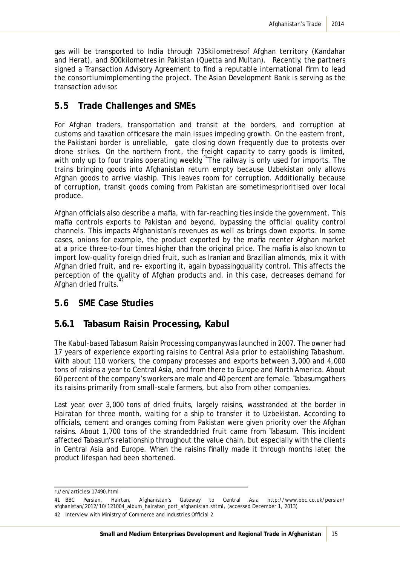gas will be transported to India through 735kilometresof Afghan territory (Kandahar and Herat), and 800kilometres in Pakistan (Quetta and Multan). Recently, the partners signed a Transaction Advisory Agreement to find a reputable international firm to lead the consortiumimplementing the project. The Asian Development Bank is serving as the transaction advisor.

#### **5.5 Trade Challenges and SMEs**

For Afghan traders, transportation and transit at the borders, and corruption at customs and taxation officesare the main issues impeding growth. On the eastern front, the Pakistani border is unreliable, gate closing down frequently due to protests over drone strikes. On the northern front, the freight capacity to carry goods is limited, with only up to four trains operating weekly.<sup>41</sup>The railway is only used for imports. The trains bringing goods into Afghanistan return empty because Uzbekistan only allows Afghan goods to arrive viaship. This leaves room for corruption. Additionally, because of corruption, transit goods coming from Pakistan are sometimesprioritised over local produce.

Afghan officials also describe a mafia, with far-reaching ties inside the government. This mafia controls exports to Pakistan and beyond, bypassing the official quality control channels. This impacts Afghanistan's revenues as well as brings down exports. In some cases, onions for example, the product exported by the mafia reenter Afghan market at a price three-to-four times higher than the original price. The mafia is also known to import low-quality foreign dried fruit, such as Iranian and Brazilian almonds, mix it with Afghan dried fruit, and re- exporting it, again bypassingquality control. This affects the perception of the quality of Afghan products and, in this case, decreases demand for Afghan dried fruits.

#### **5.6 SME Case Studies**

#### **5.6.1 Tabasum Raisin Processing, Kabul**

The Kabul-based Tabasum Raisin Processing companywas launched in 2007. The owner had 17 years of experience exporting raisins to Central Asia prior to establishing Tabashum. With about 110 workers, the company processes and exports between 3,000 and 4,000 tons of raisins a year to Central Asia, and from there to Europe and North America. About 60 percent of the company's workers are male and 40 percent are female. Tabasumgathers its raisins primarily from small-scale farmers, but also from other companies.

Last year, over 3,000 tons of dried fruits, largely raisins, wasstranded at the border in Hairatan for three month, waiting for a ship to transfer it to Uzbekistan. According to officials, cement and oranges coming from Pakistan were given priority over the Afghan raisins. About 1,700 tons of the strandeddried fruit came from Tabasum. This incident affected Tabasun's relationship throughout the value chain, but especially with the clients in Central Asia and Europe. When the raisins finally made it through months later, the product lifespan had been shortened.

ru/en/articles/17490.html

<sup>41</sup> BBC Persian, Hairtan, Afghanistan's Gateway to Central Asia http://www.bbc.co.uk/persian/ afghanistan/2012/10/121004\_album\_hairatan\_port\_afghanistan.shtml, (accessed December 1, 2013) 42 Interview with Ministry of Commerce and Industries Official 2.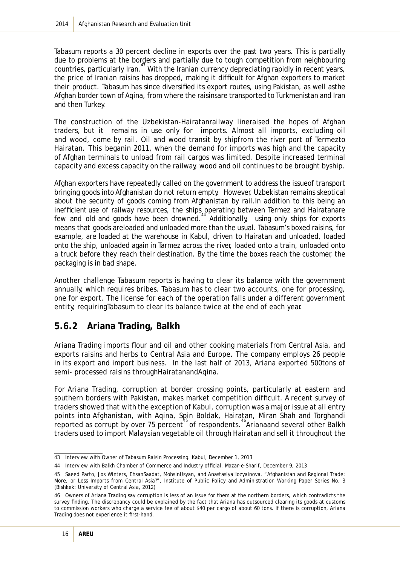Tabasum reports a 30 percent decline in exports over the past two years. This is partially due to problems at the borders and partially due to tough competition from neighbouring countries, particularly Iran.<sup>43</sup> With the Iranian currency depreciating rapidly in recent years, the price of Iranian raisins has dropped, making it difficult for Afghan exporters to market their product. Tabasum has since diversified its export routes, using Pakistan, as well asthe Afghan border town of Aqina, from where the raisinsare transported to Turkmenistan and Iran and then Turkey.

The construction of the Uzbekistan-Hairatanrailway lineraised the hopes of Afghan traders, but it remains in use only for imports. Almost all imports, excluding oil and wood, come by rail. Oil and wood transit by shipfrom the river port of Termezto Hairatan. This beganin 2011, when the demand for imports was high and the capacity of Afghan terminals to unload from rail cargos was limited. Despite increased terminal capacity and excess capacity on the railway, wood and oil continues to be brought byship.

Afghan exporters have repeatedly called on the government to address the issueof transport bringing goods into Afghanistan do not return empty. However, Uzbekistan remains skeptical about the security of goods coming from Afghanistan by rail.In addition to this being an inefficient use of railway resources, the ships operating between Termez and Hairatanare few and old and goods have been drowned.<sup>44</sup> Additionally, using only ships for exports means that goods areloaded and unloaded more than the usual. Tabasum's boxed raisins, for example, are loaded at the warehouse in Kabul, driven to Hairatan and unloaded, loaded onto the ship, unloaded again in Tarmez across the river, loaded onto a train, unloaded onto a truck before they reach their destination. By the time the boxes reach the customer, the packaging is in bad shape.

Another challenge Tabasum reports is having to clear its balance with the government annually, which requires bribes. Tabasum has to clear two accounts, one for processing, one for export. The license for each of the operation falls under a different government entity, requiringTabasum to clear its balance twice at the end of each year.

#### **5.6.2 Ariana Trading, Balkh**

Ariana Trading imports flour and oil and other cooking materials from Central Asia, and exports raisins and herbs to Central Asia and Europe. The company employs 26 people in its export and import business. In the last half of 2013, Ariana exported 500tons of semi- processed raisins throughHairatanandAqina.

For Ariana Trading, corruption at border crossing points, particularly at eastern and southern borders with Pakistan, makes market competition difficult. A recent survey of traders showed that with the exception of Kabul, corruption was a major issue at all entry points into Afghanistan, with Aqina, Spin Boldak, Hairatan, Miran Shah and Torghandi reported as corrupt by over 75 percent<sup>45</sup> of respondents.<sup>46</sup>Arianaand several other Balkh traders used to import Malaysian vegetable oil through Hairatan and sell it throughout the

<sup>43</sup> Interview with Owner of Tabasum Raisin Processing. Kabul, December 1, 2013

<sup>44</sup> Interview with Balkh Chamber of Commerce and Industry official. Mazar-e-Sharif, December 9, 2013

<sup>45</sup> Saeed Parto, Jos Winters, EhsanSaadat, MohsinUsyan, and AnastasiyaHozyainova. "Afghanistan and Regional Trade: More, or Less Imports from Central Asia?", Institute of Public Policy and Administration Working Paper Series No. 3 (Bishkek: University of Central Asia, 2012)

<sup>46</sup> Owners of Ariana Trading say corruption is less of an issue for them at the northern borders, which contradicts the survey finding. The discrepancy could be explained by the fact that Ariana has outsourced clearing its goods at customs to commission workers who charge a service fee of about \$40 per cargo of about 60 tons. If there is corruption, Ariana Trading does not experience it first-hand.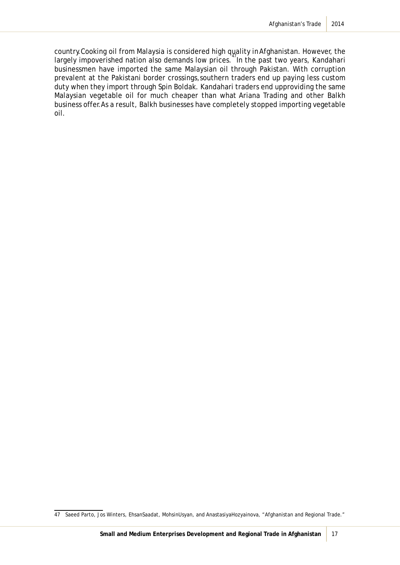country.Cooking oil from Malaysia is considered high quality in Afghanistan. However, the largely impoverished nation also demands low prices.<sup>47</sup>In the past two years, Kandahari businessmen have imported the same Malaysian oil through Pakistan. With corruption prevalent at the Pakistani border crossings,southern traders end up paying less custom duty when they import through Spin Boldak. Kandahari traders end upproviding the same Malaysian vegetable oil for much cheaper than what Ariana Trading and other Balkh business offer.As a result, Balkh businesses have completely stopped importing vegetable oil.

<sup>47</sup> Saeed Parto, Jos Winters, EhsanSaadat, MohsinUsyan, and AnastasiyaHozyainova, "Afghanistan and Regional Trade."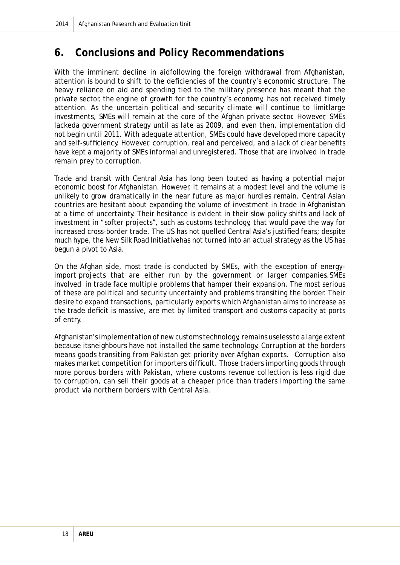# **6. Conclusions and Policy Recommendations**

With the imminent decline in aidfollowing the foreign withdrawal from Afghanistan, attention is bound to shift to the deficiencies of the country's economic structure. The heavy reliance on aid and spending tied to the military presence has meant that the private sector, the engine of growth for the country's economy, has not received timely attention. As the uncertain political and security climate will continue to limitlarge investments, SMEs will remain at the core of the Afghan private sector. However, SMEs lackeda government strategy until as late as 2009, and even then, implementation did not begin until 2011. With adequate attention, SMEs could have developed more capacity and self-sufficiency. However, corruption, real and perceived, and a lack of clear benefits have kept a majority of SMEs informal and unregistered. Those that are involved in trade remain prey to corruption.

Trade and transit with Central Asia has long been touted as having a potential major economic boost for Afghanistan. However, it remains at a modest level and the volume is unlikely to grow dramatically in the near future as major hurdles remain. Central Asian countries are hesitant about expanding the volume of investment in trade in Afghanistan at a time of uncertainty. Their hesitance is evident in their slow policy shifts and lack of investment in "softer projects", such as customs technology, that would pave the way for increased cross-border trade. The US has not quelled Central Asia's justified fears; despite much hype, the New Silk Road Initiativehas not turned into an actual strategy as the US has begun a pivot to Asia.

On the Afghan side, most trade is conducted by SMEs, with the exception of energyimport projects that are either run by the government or larger companies.SMEs involved in trade face multiple problems that hamper their expansion. The most serious of these are political and security uncertainty and problems transiting the border. Their desire to expand transactions, particularly exports which Afghanistan aims to increase as the trade deficit is massive, are met by limited transport and customs capacity at ports of entry.

Afghanistan's implementation of new customs technology, remains useless to a large extent because itsneighbours have not installed the same technology. Corruption at the borders means goods transiting from Pakistan get priority over Afghan exports. Corruption also makes market competition for importers difficult. Those traders importing goods through more porous borders with Pakistan, where customs revenue collection is less rigid due to corruption, can sell their goods at a cheaper price than traders importing the same product via northern borders with Central Asia.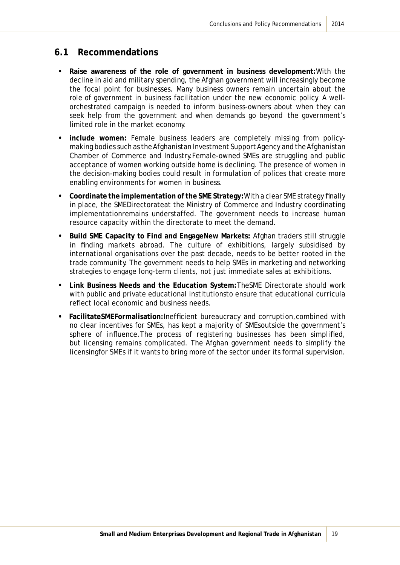#### **6.1 Recommendations**

- **Raise awareness of the role of government in business development:**With the decline in aid and military spending, the Afghan government will increasingly become the focal point for businesses. Many business owners remain uncertain about the role of government in business facilitation under the new economic policy. A wellorchestrated campaign is needed to inform business-owners about when they can seek help from the government and when demands go beyond the government's limited role in the market economy.
- **include women:** Female business leaders are completely missing from policymaking bodies such as the Afghanistan Investment Support Agency and the Afghanistan Chamber of Commerce and Industry.Female-owned SMEs are struggling and public acceptance of women working outside home is declining. The presence of women in the decision-making bodies could result in formulation of polices that create more enabling environments for women in business.
- **Coordinate the implementation of the SME Strategy:**With a clear SME strategy finally in place, the SMEDirectorateat the Ministry of Commerce and Industry coordinating implementationremains understaffed. The government needs to increase human resource capacity within the directorate to meet the demand.
- **Build SME Capacity to Find and EngageNew Markets:** Afghan traders still struggle in finding markets abroad. The culture of exhibitions, largely subsidised by international organisations over the past decade, needs to be better rooted in the trade community. The government needs to help SMEs in marketing and networking strategies to engage long-term clients, not just immediate sales at exhibitions.
- **Link Business Needs and the Education System:**TheSME Directorate should work with public and private educational institutionsto ensure that educational curricula reflect local economic and business needs.
- **FacilitateSMEFormalisation:**Inefficient bureaucracy and corruption,combined with no clear incentives for SMEs, has kept a majority of SMEsoutside the government's sphere of influence.The process of registering businesses has been simplified, but licensing remains complicated. The Afghan government needs to simplify the licensingfor SMEs if it wants to bring more of the sector under its formal supervision.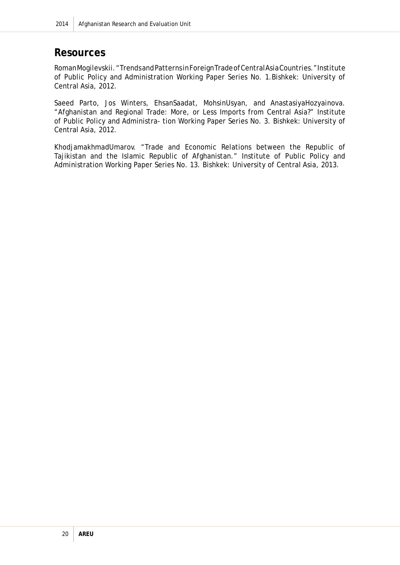### **Resources**

Roman Mogilevskii. "Trends and Patterns in Foreign Trade of Central Asia Countries." Institute of Public Policy and Administration Working Paper Series No. 1.Bishkek: University of Central Asia, 2012.

Saeed Parto, Jos Winters, EhsanSaadat, MohsinUsyan, and AnastasiyaHozyainova. "Afghanistan and Regional Trade: More, or Less Imports from Central Asia?" Institute of Public Policy and Administra- tion Working Paper Series No. 3. Bishkek: University of Central Asia, 2012.

KhodjamakhmadUmarov. "Trade and Economic Relations between the Republic of Tajikistan and the Islamic Republic of Afghanistan." Institute of Public Policy and Administration Working Paper Series No. 13. Bishkek: University of Central Asia, 2013.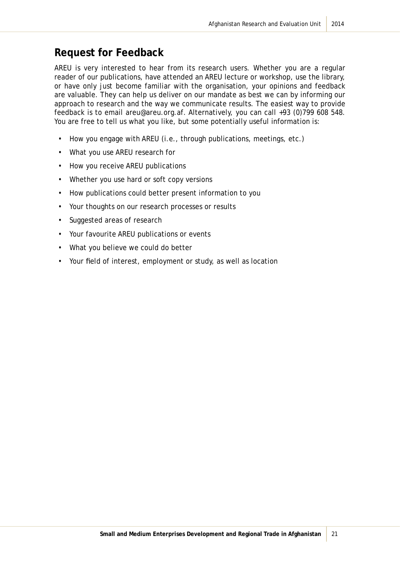### **Request for Feedback**

AREU is very interested to hear from its research users. Whether you are a regular reader of our publications, have attended an AREU lecture or workshop, use the library, or have only just become familiar with the organisation, your opinions and feedback are valuable. They can help us deliver on our mandate as best we can by informing our approach to research and the way we communicate results. The easiest way to provide feedback is to email areu@areu.org.af. Alternatively, you can call +93 (0)799 608 548. You are free to tell us what you like, but some potentially useful information is:

- How you engage with AREU (i.e., through publications, meetings, etc.)
- What you use AREU research for
- How you receive AREU publications
- Whether you use hard or soft copy versions
- How publications could better present information to you
- Your thoughts on our research processes or results
- Suggested areas of research
- Your favourite AREU publications or events
- What you believe we could do better
- Your field of interest, employment or study, as well as location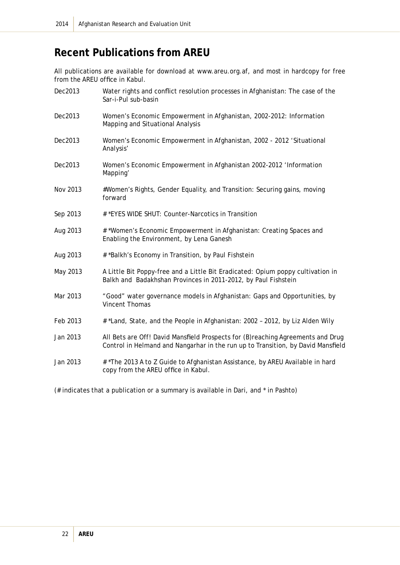# **Recent Publications from AREU**

All publications are available for download at www.areu.org.af, and most in hardcopy for free from the AREU office in Kabul.

| Dec2013  | Water rights and conflict resolution processes in Afghanistan: The case of the<br>Sar-i-Pul sub-basin                                                                |
|----------|----------------------------------------------------------------------------------------------------------------------------------------------------------------------|
| Dec2013  | Women's Economic Empowerment in Afghanistan, 2002-2012: Information<br>Mapping and Situational Analysis                                                              |
| Dec2013  | Women's Economic Empowerment in Afghanistan, 2002 - 2012 'Situational<br>Analysis'                                                                                   |
| Dec2013  | Women's Economic Empowerment in Afghanistan 2002-2012 'Information<br>Mapping'                                                                                       |
| Nov 2013 | #Women's Rights, Gender Equality, and Transition: Securing gains, moving<br>forward                                                                                  |
| Sep 2013 | # *EYES WIDE SHUT: Counter-Narcotics in Transition                                                                                                                   |
| Aug 2013 | # *Women's Economic Empowerment in Afghanistan: Creating Spaces and<br>Enabling the Environment, by Lena Ganesh                                                      |
| Aug 2013 | # *Balkh's Economy in Transition, by Paul Fishstein                                                                                                                  |
| May 2013 | A Little Bit Poppy-free and a Little Bit Eradicated: Opium poppy cultivation in<br>Balkh and Badakhshan Provinces in 2011-2012, by Paul Fishstein                    |
| Mar 2013 | "Good" water governance models in Afghanistan: Gaps and Opportunities, by<br><b>Vincent Thomas</b>                                                                   |
| Feb 2013 | # *Land, State, and the People in Afghanistan: 2002 - 2012, by Liz Alden Wily                                                                                        |
| Jan 2013 | All Bets are Off! David Mansfield Prospects for (B) reaching Agreements and Drug<br>Control in Helmand and Nangarhar in the run up to Transition, by David Mansfield |
| Jan 2013 | # *The 2013 A to Z Guide to Afghanistan Assistance, by AREU Available in hard<br>copy from the AREU office in Kabul.                                                 |

(# indicates that a publication or a summary is available in Dari, and \* in Pashto)